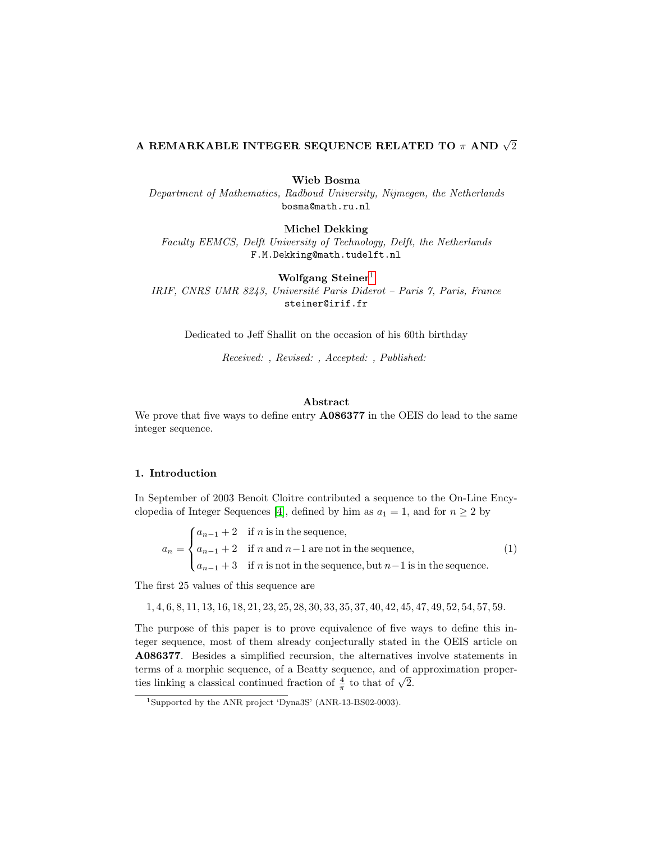# A REMARKABLE INTEGER SEQUENCE RELATED TO  $\pi$  and  $\sqrt{2}$

Wieb Bosma

Department of Mathematics, Radboud University, Nijmegen, the Netherlands bosma@math.ru.nl

Michel Dekking

Faculty EEMCS, Delft University of Technology, Delft, the Netherlands F.M.Dekking@math.tudelft.nl

Wolfgang Steiner<sup>[1](#page-0-0)</sup> IRIF, CNRS UMR 8243, Université Paris Diderot – Paris 7, Paris, France steiner@irif.fr

Dedicated to Jeff Shallit on the occasion of his 60th birthday

Received: , Revised: , Accepted: , Published:

## Abstract

We prove that five ways to define entry  $\triangle$  A086377 in the OEIS do lead to the same integer sequence.

# 1. Introduction

In September of 2003 Benoit Cloitre contributed a sequence to the On-Line Ency-clopedia of Integer Sequences [\[4\]](#page-8-0), defined by him as  $a_1 = 1$ , and for  $n \geq 2$  by

 $a_n =$  $\sqrt{ }$  $\int$  $\overline{a}$  $a_{n-1} + 2$  if n is in the sequence,  $a_{n-1} + 2$  if n and  $n-1$  are not in the sequence,  $a_{n-1}$  + 3 if n is not in the sequence, but  $n-1$  is in the sequence. (1)

The first 25 values of this sequence are

1, 4, 6, 8, 11, 13, 16, 18, 21, 23, 25, 28, 30, 33, 35, 37, 40, 42, 45, 47, 49, 52, 54, 57, 59.

The purpose of this paper is to prove equivalence of five ways to define this integer sequence, most of them already conjecturally stated in the OEIS article on A086377. Besides a simplified recursion, the alternatives involve statements in terms of a morphic sequence, of a Beatty sequence, and of approximation properthe terms of a morphic sequence, or a beatty sequence, and of  $\frac{4}{\pi}$  to that of  $\sqrt{2}$ .

<span id="page-0-0"></span><sup>&</sup>lt;sup>1</sup>Supported by the ANR project 'Dyna3S' (ANR-13-BS02-0003).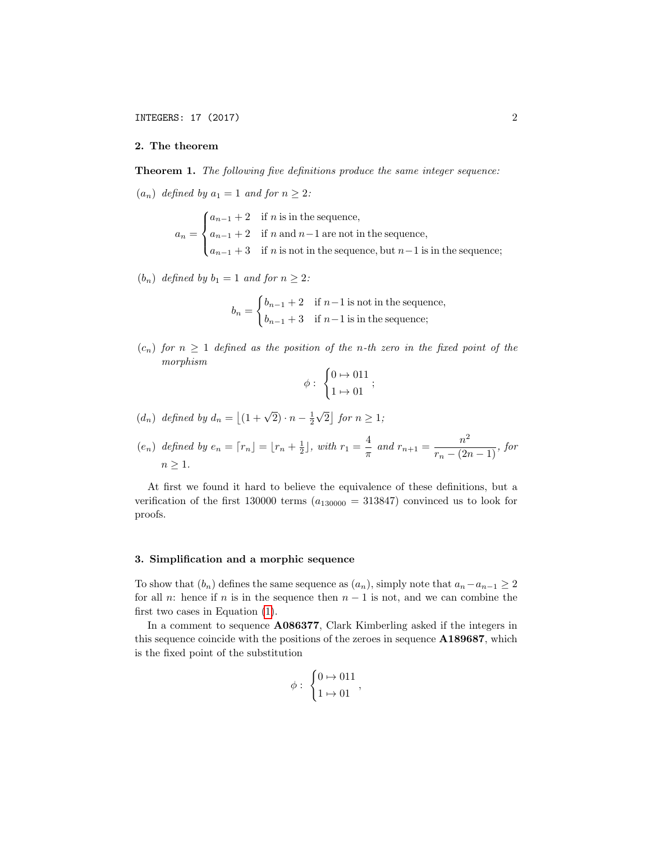## 2. The theorem

<span id="page-1-0"></span>**Theorem 1.** The following five definitions produce the same integer sequence:

 $(a_n)$  defined by  $a_1 = 1$  and for  $n \geq 2$ :

 $a_n =$  $\sqrt{ }$  $\int$  $\overline{\mathcal{L}}$  $a_{n-1} + 2$  if n is in the sequence,  $a_{n-1} + 2$  if n and  $n-1$  are not in the sequence,  $a_{n-1}$  + 3 if n is not in the sequence, but  $n-1$  is in the sequence;

 $(b_n)$  defined by  $b_1 = 1$  and for  $n \geq 2$ :

$$
b_n = \begin{cases} b_{n-1} + 2 & \text{if } n-1 \text{ is not in the sequence,} \\ b_{n-1} + 3 & \text{if } n-1 \text{ is in the sequence;} \end{cases}
$$

 $(c_n)$  for  $n \geq 1$  defined as the position of the n-th zero in the fixed point of the morphism

$$
\phi: \ \begin{cases} 0 \mapsto 011 \\ 1 \mapsto 01 \end{cases};
$$

 $(d_n)$  defined by  $d_n = \lfloor (1 + \sqrt{2}) \cdot n - \frac{1}{2} \rfloor$ √  $\overline{2}$  | for  $n \geq 1$ ;

$$
(e_n) \ \text{defined by } e_n = \lceil r_n \rfloor = \lfloor r_n + \frac{1}{2} \rfloor, \ \text{with } r_1 = \frac{4}{\pi} \text{ and } r_{n+1} = \frac{n^2}{r_n - (2n - 1)}, \ \text{for} \ n \ge 1.
$$

At first we found it hard to believe the equivalence of these definitions, but a verification of the first 130000 terms  $(a_{130000} = 313847)$  convinced us to look for proofs.

## 3. Simplification and a morphic sequence

To show that  $(b_n)$  defines the same sequence as  $(a_n)$ , simply note that  $a_n-a_{n-1} \geq 2$ for all n: hence if n is in the sequence then  $n-1$  is not, and we can combine the first two cases in Equation [\(1\)](#page-1-0).

In a comment to sequence A086377, Clark Kimberling asked if the integers in this sequence coincide with the positions of the zeroes in sequence A189687, which is the fixed point of the substitution

$$
\phi: \begin{cases} 0 \mapsto 011 \\ 1 \mapsto 01 \end{cases},
$$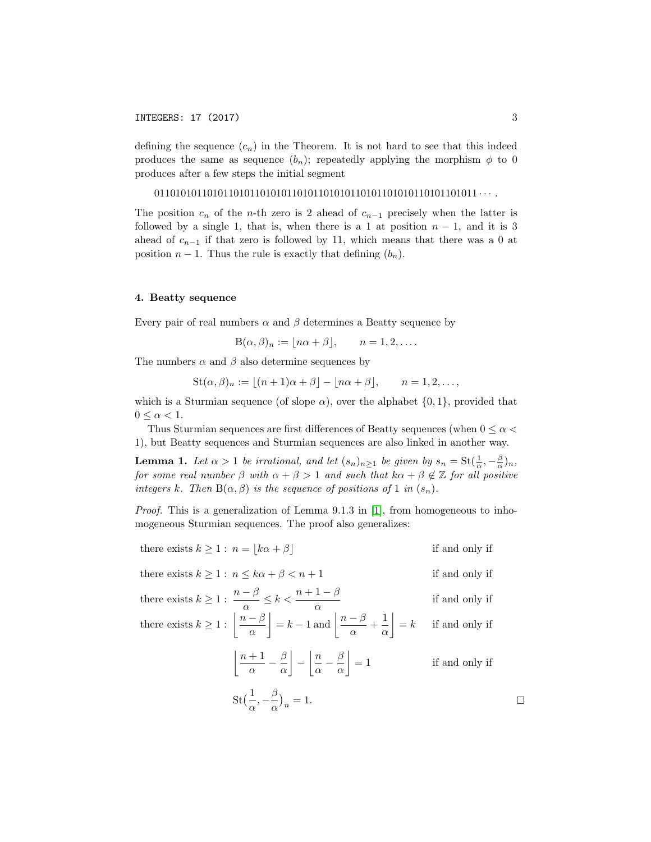defining the sequence  $(c_n)$  in the Theorem. It is not hard to see that this indeed produces the same as sequence  $(b_n)$ ; repeatedly applying the morphism  $\phi$  to 0 produces after a few steps the initial segment

0110101011010110101101010110101101010110101101010110101101011 · · · .

The position  $c_n$  of the *n*-th zero is 2 ahead of  $c_{n-1}$  precisely when the latter is followed by a single 1, that is, when there is a 1 at position  $n-1$ , and it is 3 ahead of  $c_{n-1}$  if that zero is followed by 11, which means that there was a 0 at position  $n-1$ . Thus the rule is exactly that defining  $(b_n)$ .

## 4. Beatty sequence

Every pair of real numbers  $\alpha$  and  $\beta$  determines a Beatty sequence by

$$
B(\alpha, \beta)_n := \lfloor n\alpha + \beta \rfloor, \qquad n = 1, 2, \dots.
$$

The numbers  $\alpha$  and  $\beta$  also determine sequences by

 $\text{St}(\alpha, \beta)_n := |(n+1)\alpha + \beta| - |n\alpha + \beta|, \quad n = 1, 2, \ldots,$ 

which is a Sturmian sequence (of slope  $\alpha$ ), over the alphabet  $\{0, 1\}$ , provided that  $0 \leq \alpha < 1$ .

Thus Sturmian sequences are first differences of Beatty sequences (when  $0 \leq \alpha \leq$ 1), but Beatty sequences and Sturmian sequences are also linked in another way.

<span id="page-2-0"></span>**Lemma 1.** Let  $\alpha > 1$  be irrational, and let  $(s_n)_{n \geq 1}$  be given by  $s_n = \text{St}(\frac{1}{\alpha}, -\frac{\beta}{\alpha})_n$ , for some real number  $\beta$  with  $\alpha + \beta > 1$  and such that  $k\alpha + \beta \notin \mathbb{Z}$  for all positive integers k. Then  $B(\alpha, \beta)$  is the sequence of positions of 1 in  $(s_n)$ .

*Proof.* This is a generalization of Lemma 9.1.3 in [\[1\]](#page-7-0), from homogeneous to inhomogeneous Sturmian sequences. The proof also generalizes:

there exists 
$$
k \ge 1
$$
:  $n = |k\alpha + \beta|$  if and only if

there exists  $k \geq 1$ :  $n \leq k\alpha + \beta < n+1$  if and only if

there exists 
$$
k \ge 1
$$
:  $\frac{n-\beta}{\alpha} \le k < \frac{n+1-\beta}{\alpha}$  if and only if

there exists  $k \geq 1$  :  $\left\lfloor \frac{n-\beta}{n} \right\rfloor$ α  $= k - 1$  and  $\frac{n - \beta}{n}$  $\frac{-\beta}{\alpha} + \frac{1}{\alpha}$ α  $\overline{\phantom{a}}$ if and only if

$$
\left\lfloor \frac{n+1}{\alpha} - \frac{\beta}{\alpha} \right\rfloor - \left\lfloor \frac{n}{\alpha} - \frac{\beta}{\alpha} \right\rfloor = 1
$$
 if and only if

$$
St\left(\frac{1}{\alpha}, -\frac{\beta}{\alpha}\right)_n = 1.
$$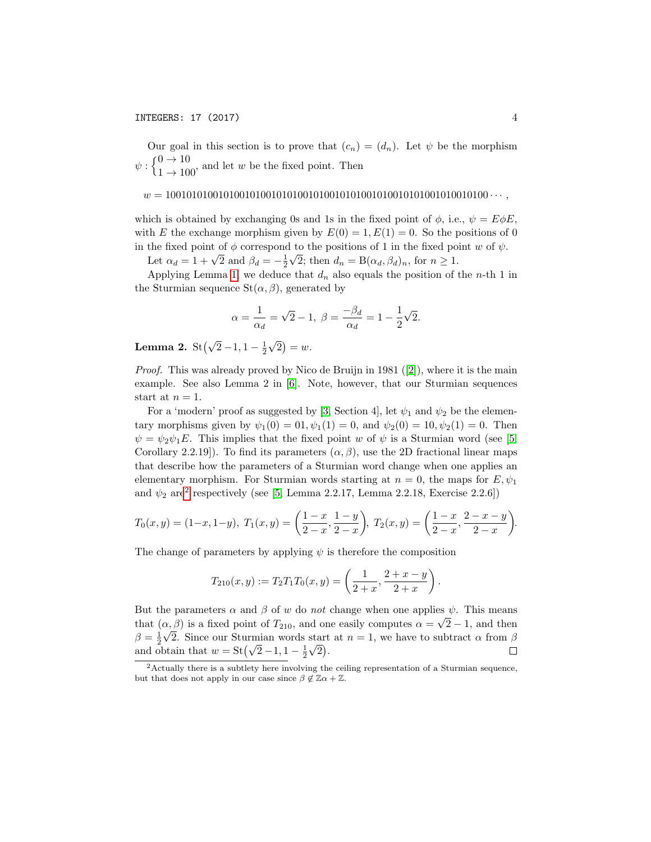Our goal in this section is to prove that  $(c_n) = (d_n)$ . Let  $\psi$  be the morphism  $\psi: \begin{cases} 0 \to 10 \\ 1 \to 100 \end{cases}$ , and let w be the fixed point. Then

#### w = 1001010100101001010010101001010010101001010010101001010010100 · · · ,

which is obtained by exchanging 0s and 1s in the fixed point of  $\phi$ , i.e.,  $\psi = E \phi E$ . with E the exchange morphism given by  $E(0) = 1, E(1) = 0$ . So the positions of 0 in the fixed point of  $\phi$  correspond to the positions of 1 in the fixed point w of  $\psi$ .

Let  $\alpha_d = 1 + \sqrt{2}$  and  $\beta_d = -\frac{1}{2}\sqrt{2}$ ; then  $d_n = B(\alpha_d, \beta_d)_n$ , for  $n \ge 1$ .

Applying Lemma [1,](#page-2-0) we deduce that  $d_n$  also equals the position of the *n*-th 1 in the Sturmian sequence  $St(\alpha, \beta)$ , generated by

$$
\alpha = \frac{1}{\alpha_d} = \sqrt{2} - 1, \ \beta = \frac{-\beta_d}{\alpha_d} = 1 - \frac{1}{2}\sqrt{2}.
$$

Lemma 2. St $(\sqrt{2}-1, 1-\frac{1}{2})$ √  $\overline{2})=w.$ 

*Proof.* This was already proved by Nico de Bruijn in 1981 ([\[2\]](#page-7-1)), where it is the main example. See also Lemma 2 in [\[6\]](#page-8-1). Note, however, that our Sturmian sequences start at  $n = 1$ .

For a 'modern' proof as suggested by [\[3,](#page-8-2) Section 4], let  $\psi_1$  and  $\psi_2$  be the elementary morphisms given by  $\psi_1(0) = 0.1, \psi_1(1) = 0$ , and  $\psi_2(0) = 10, \psi_2(1) = 0$ . Then  $\psi = \psi_2 \psi_1 E$ . This implies that the fixed point w of  $\psi$  is a Sturmian word (see [\[5,](#page-8-3) Corollary 2.2.19]). To find its parameters  $(\alpha, \beta)$ , use the 2D fractional linear maps that describe how the parameters of a Sturmian word change when one applies an elementary morphism. For Sturmian words starting at  $n = 0$ , the maps for  $E, \psi_1$ and  $\psi_2$  $\psi_2$  are<sup>2</sup> respectively (see [\[5,](#page-8-3) Lemma 2.2.17, Lemma 2.2.18, Exercise 2.2.6])

$$
T_0(x,y) = (1-x, 1-y), \ T_1(x,y) = \left(\frac{1-x}{2-x}, \frac{1-y}{2-x}\right), \ T_2(x,y) = \left(\frac{1-x}{2-x}, \frac{2-x-y}{2-x}\right).
$$

The change of parameters by applying  $\psi$  is therefore the composition

$$
T_{210}(x,y) := T_2 T_1 T_0(x,y) = \left(\frac{1}{2+x}, \frac{2+x-y}{2+x}\right)
$$

.

But the parameters  $\alpha$  and  $\beta$  of w do not change when one applies  $\psi$ . This means that  $(\alpha, \beta)$  is a fixed point of  $T_{210}$ , and one easily computes  $\alpha = \sqrt{2} - 1$ , and then  $\beta = \frac{1}{2}\sqrt{2}$ . Since our Sturmian words start at  $n = 1$ , we have to subtract  $\alpha$  from  $\beta$  $p = \frac{1}{2} \sqrt{2}$ . Since our Sturman words start<br>and obtain that  $w = \text{St}(\sqrt{2} - 1, 1 - \frac{1}{2}\sqrt{2})$ .  $\Box$ 

<span id="page-3-0"></span><sup>&</sup>lt;sup>2</sup>Actually there is a subtlety here involving the ceiling representation of a Sturmian sequence, but that does not apply in our case since  $\beta \notin \mathbb{Z} \alpha + \mathbb{Z}$ .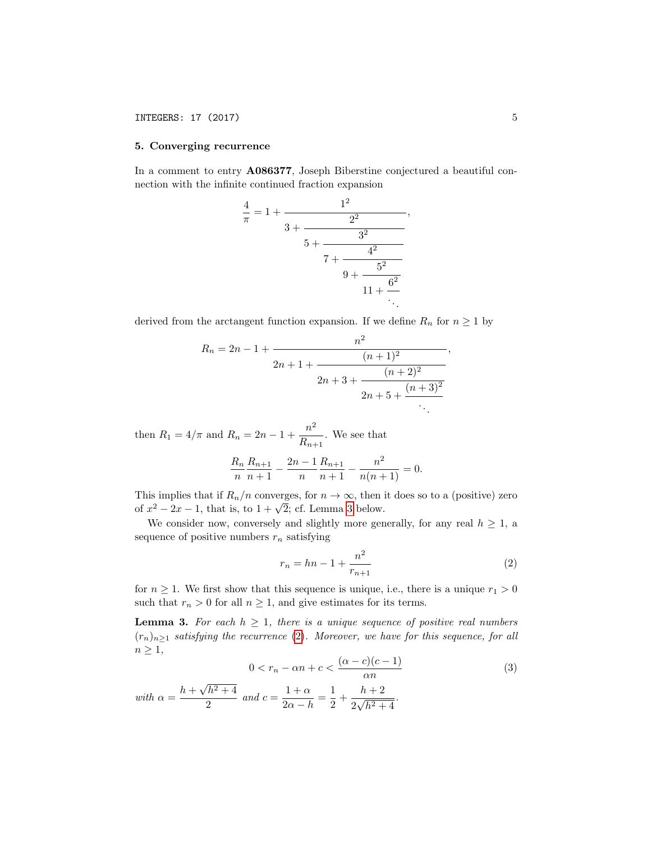## INTEGERS: 17 (2017) 5

#### 5. Converging recurrence

In a comment to entry A086377, Joseph Biberstine conjectured a beautiful connection with the infinite continued fraction expansion

$$
\frac{4}{\pi} = 1 + \cfrac{1^2}{3 + \cfrac{2^2}{5 + \cfrac{3^2}{7 + \cfrac{4^2}{9 + \cfrac{5^2}{11 + \cfrac{6^2}{\ddots}}}}}}}
$$

derived from the arctangent function expansion. If we define  $R_n$  for  $n \geq 1$  by

$$
R_n = 2n - 1 + \frac{n^2}{2n + 1 + \frac{(n+1)^2}{2n + 3 + \frac{(n+2)^2}{2n + 5 + \frac{(n+3)^2}{2}}}}.
$$

then  $R_1 = 4/\pi$  and  $R_n = 2n - 1 + \frac{n^2}{R}$  $\frac{n}{R_{n+1}}$ . We see that  $R_n$ n  $R_{n+1}$  $\frac{R_{n+1}}{n+1} - \frac{2n-1}{n}$ n  $R_{n+1}$  $\frac{R_{n+1}}{n+1} - \frac{n^2}{n(n+1)}$  $\frac{n}{n(n+1)} = 0.$ 

This implies that if  $R_n/n$  converges, for  $n \to \infty$ , then it does so to a (positive) zero This implies that if  $R_n/n$  converges, for  $n \to \infty$ , then for  $x^2 - 2x - 1$ , that is, to  $1 + \sqrt{2}$ ; cf. Lemma [3](#page-4-0) below.

We consider now, conversely and slightly more generally, for any real  $h \geq 1$ , a sequence of positive numbers  $r_n$  satisfying

<span id="page-4-1"></span>
$$
r_n = hn - 1 + \frac{n^2}{r_{n+1}}
$$
 (2)

,

for  $n \geq 1$ . We first show that this sequence is unique, i.e., there is a unique  $r_1 > 0$ such that  $r_n > 0$  for all  $n \geq 1$ , and give estimates for its terms.

<span id="page-4-0"></span>**Lemma 3.** For each  $h \geq 1$ , there is a unique sequence of positive real numbers  $(r_n)_{n\geq 1}$  satisfying the recurrence [\(2\)](#page-4-1). Moreover, we have for this sequence, for all  $n \geq 1$ ,

<span id="page-4-2"></span>
$$
0 < r_n - \alpha n + c < \frac{(\alpha - c)(c - 1)}{\alpha n} \tag{3}
$$

with 
$$
\alpha = \frac{h + \sqrt{h^2 + 4}}{2}
$$
 and  $c = \frac{1 + \alpha}{2\alpha - h} = \frac{1}{2} + \frac{h + 2}{2\sqrt{h^2 + 4}}$ .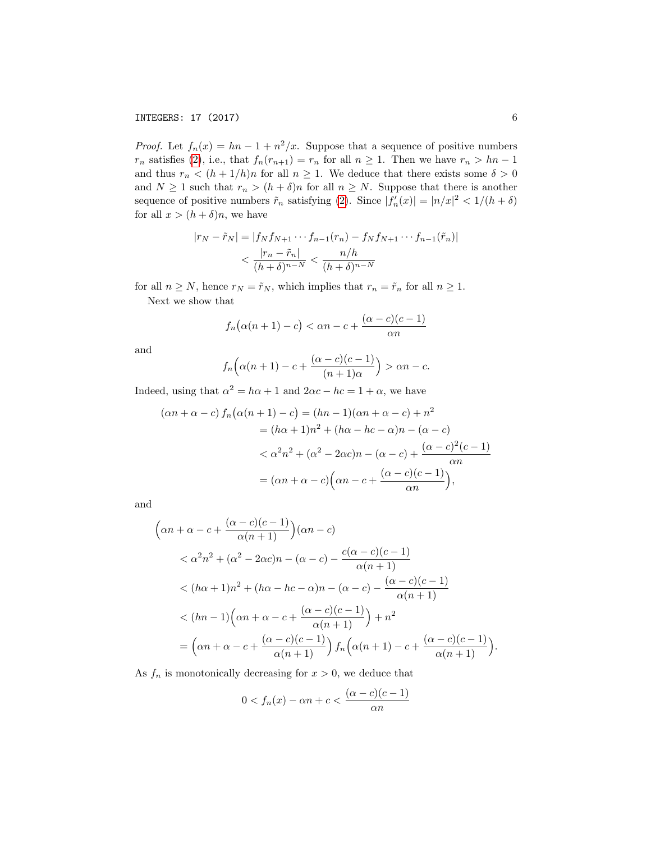*Proof.* Let  $f_n(x) = hn - 1 + n^2/x$ . Suppose that a sequence of positive numbers  $r_n$  satisfies [\(2\)](#page-4-1), i.e., that  $f_n(r_{n+1}) = r_n$  for all  $n \ge 1$ . Then we have  $r_n > hn-1$ and thus  $r_n < (h + 1/h)n$  for all  $n \ge 1$ . We deduce that there exists some  $\delta > 0$ and  $N \geq 1$  such that  $r_n > (h + \delta)n$  for all  $n \geq N$ . Suppose that there is another sequence of positive numbers  $\tilde{r}_n$  satisfying [\(2\)](#page-4-1). Since  $|f'_n(x)| = |n/x|^2 < 1/(h+\delta)$ for all  $x > (h + \delta)n$ , we have

$$
|r_N - \tilde{r}_N| = |f_N f_{N+1} \cdots f_{n-1}(r_n) - f_N f_{N+1} \cdots f_{n-1}(\tilde{r}_n)|
$$
  

$$
< \frac{|r_n - \tilde{r}_n|}{(h + \delta)^{n-N}} < \frac{n/h}{(h + \delta)^{n-N}}
$$

for all  $n \geq N$ , hence  $r_N = \tilde{r}_N$ , which implies that  $r_n = \tilde{r}_n$  for all  $n \geq 1$ . Next we show that

$$
f_n(\alpha(n+1)-c) < \alpha n - c + \frac{(\alpha - c)(c-1)}{\alpha n}
$$

and

$$
f_n\Big(\alpha(n+1)-c+\frac{(\alpha-c)(c-1)}{(n+1)\alpha}\Big)>\alpha n-c.
$$

Indeed, using that  $\alpha^2 = h\alpha + 1$  and  $2\alpha c - h c = 1 + \alpha$ , we have

$$
(\alpha n + \alpha - c) f_n(\alpha (n + 1) - c) = (hn - 1)(\alpha n + \alpha - c) + n^2
$$
  

$$
= (h\alpha + 1)n^2 + (h\alpha - hc - \alpha)n - (\alpha - c)
$$
  

$$
< \alpha^2 n^2 + (\alpha^2 - 2\alpha c)n - (\alpha - c) + \frac{(\alpha - c)^2(c - 1)}{\alpha n}
$$
  

$$
= (\alpha n + \alpha - c)\left(\alpha n - c + \frac{(\alpha - c)(c - 1)}{\alpha n}\right),
$$

and

$$
\left(\alpha n + \alpha - c + \frac{(\alpha - c)(c - 1)}{\alpha(n + 1)}\right)(\alpha n - c)
$$
  

$$
< \alpha^2 n^2 + (\alpha^2 - 2\alpha c)n - (\alpha - c) - \frac{c(\alpha - c)(c - 1)}{\alpha(n + 1)}
$$
  

$$
< (h\alpha + 1)n^2 + (h\alpha - hc - \alpha)n - (\alpha - c) - \frac{(\alpha - c)(c - 1)}{\alpha(n + 1)}
$$
  

$$
< (hn - 1)\left(\alpha n + \alpha - c + \frac{(\alpha - c)(c - 1)}{\alpha(n + 1)}\right) + n^2
$$
  

$$
= \left(\alpha n + \alpha - c + \frac{(\alpha - c)(c - 1)}{\alpha(n + 1)}\right)f_n\left(\alpha(n + 1) - c + \frac{(\alpha - c)(c - 1)}{\alpha(n + 1)}\right).
$$

As  $f_n$  is monotonically decreasing for  $x > 0$ , we deduce that

$$
0 < f_n(x) - \alpha n + c < \frac{(\alpha - c)(c - 1)}{\alpha n}
$$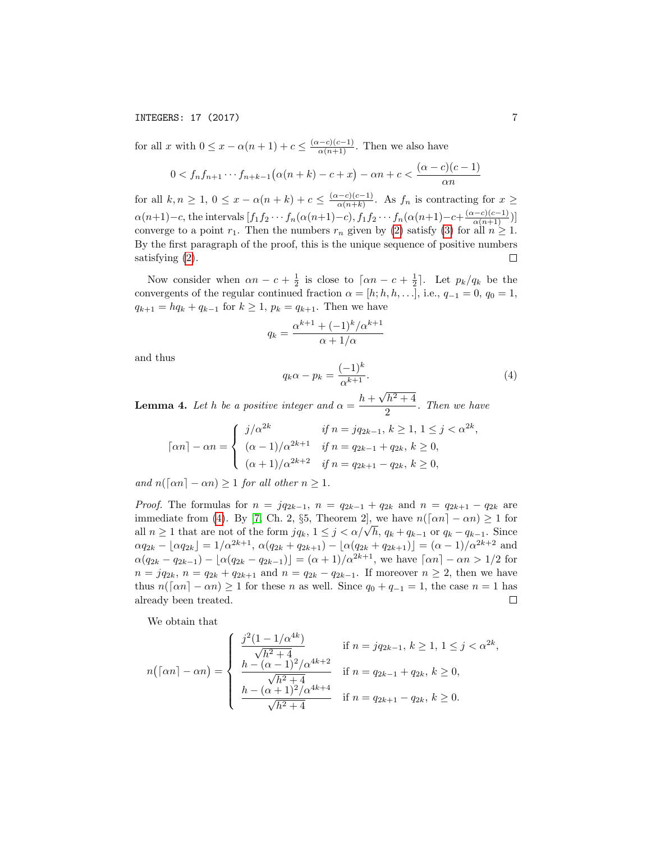## INTEGERS: 17 (2017) 7

for all x with  $0 \leq x - \alpha(n+1) + c \leq \frac{(\alpha-c)(c-1)}{\alpha(n+1)}$ . Then we also have

$$
0 < f_n f_{n+1} \cdots f_{n+k-1} \big( \alpha(n+k) - c + x \big) - \alpha n + c < \frac{(\alpha - c)(c - 1)}{\alpha n}
$$

for all  $k, n \geq 1, 0 \leq x - \alpha(n+k) + c \leq \frac{(\alpha-c)(c-1)}{\alpha(n+k)}$  $\frac{a-c}{\alpha(n+k)}$ . As  $f_n$  is contracting for  $x \geq$  $\alpha(n+1)-c$ , the intervals  $[f_1f_2\cdots f_n(\alpha(n+1)-c), f_1f_2\cdots f_n(\alpha(n+1)-c+\frac{(\alpha-c)(c-1)}{\alpha(n+1)})]$ converge to a point  $r_1$ . Then the numbers  $r_n$  given by [\(2\)](#page-4-1) satisfy [\(3\)](#page-4-2) for all  $n \geq 1$ . By the first paragraph of the proof, this is the unique sequence of positive numbers satisfying [\(2\)](#page-4-1).  $\Box$ 

Now consider when  $\alpha n - c + \frac{1}{2}$  is close to  $\lceil \alpha n - c + \frac{1}{2} \rceil$ . Let  $p_k/q_k$  be the convergents of the regular continued fraction  $\alpha = [h; h, h, \ldots]$ , i.e.,  $q_{-1} = 0$ ,  $q_0 = 1$ ,  $q_{k+1} = hq_k + q_{k-1}$  for  $k \geq 1$ ,  $p_k = q_{k+1}$ . Then we have

$$
q_k = \frac{\alpha^{k+1} + (-1)^k / \alpha^{k+1}}{\alpha + 1/\alpha}
$$

and thus

<span id="page-6-0"></span>
$$
q_k \alpha - p_k = \frac{(-1)^k}{\alpha^{k+1}}.
$$
\n(4)

**Lemma 4.** Let h be a positive integer and  $\alpha = \frac{h + m}{h}$  $h^2 + 4$  $\frac{n+1}{2}$ . Then we have

$$
\lceil \alpha n \rceil - \alpha n = \begin{cases} j/\alpha^{2k} & \text{if } n = jq_{2k-1}, \, k \ge 1, \, 1 \le j < \alpha^{2k}, \\ \frac{(\alpha - 1)}{\alpha^{2k+1}} & \text{if } n = q_{2k-1} + q_{2k}, \, k \ge 0, \\ \frac{(\alpha + 1)}{\alpha^{2k+2}} & \text{if } n = q_{2k+1} - q_{2k}, \, k \ge 0, \end{cases}
$$

and  $n(\lceil \alpha n \rceil - \alpha n) \geq 1$  for all other  $n \geq 1$ .

*Proof.* The formulas for  $n = iq_{2k-1}$ ,  $n = q_{2k-1} + q_{2k}$  and  $n = q_{2k+1} - q_{2k}$  are immediate from [\(4\)](#page-6-0). By [\[7,](#page-8-4) Ch. 2, §5, Theorem 2], we have  $n(\lceil \alpha n \rceil - \alpha n) \ge 1$  for all  $n \geq 1$  that are not of the form  $jq_k$ ,  $1 \leq j < \alpha/\sqrt{h}$ ,  $q_k + q_{k-1}$  or  $q_k - q_{k-1}$ . Since  $\alpha q_{2k} - \lfloor \alpha q_{2k} \rfloor = 1/\alpha^{2k+1}, \ \alpha(q_{2k} + q_{2k+1}) - \lfloor \alpha (q_{2k} + q_{2k+1}) \rfloor = (\alpha - 1)/\alpha^{2k+2}$  and  $\alpha(q_{2k} - q_{2k-1}) - \lfloor \alpha(q_{2k} - q_{2k-1}) \rfloor = (\alpha+1)/\alpha^{2k+1}$ , we have  $\lceil \alpha n \rceil - \alpha n > 1/2$  for  $n = iq_{2k}, n = q_{2k} + q_{2k+1}$  and  $n = q_{2k} - q_{2k-1}$ . If moreover  $n \geq 2$ , then we have thus  $n(\lceil \alpha n \rceil - \alpha n) \ge 1$  for these n as well. Since  $q_0 + q_{-1} = 1$ , the case  $n = 1$  has already been treated.  $\Box$ 

We obtain that

$$
n(\lceil \alpha n \rceil - \alpha n) = \begin{cases} \frac{j^2(1 - 1/\alpha^{4k})}{\sqrt{h^2 + 4}} & \text{if } n = jq_{2k-1}, \, k \ge 1, \, 1 \le j < \alpha^{2k}, \\ \frac{h - (\alpha - 1)^2/\alpha^{4k+2}}{\sqrt{h^2 + 4}} & \text{if } n = q_{2k-1} + q_{2k}, \, k \ge 0, \\ \frac{h - (\alpha + 1)^2/\alpha^{4k+4}}{\sqrt{h^2 + 4}} & \text{if } n = q_{2k+1} - q_{2k}, \, k \ge 0. \end{cases}
$$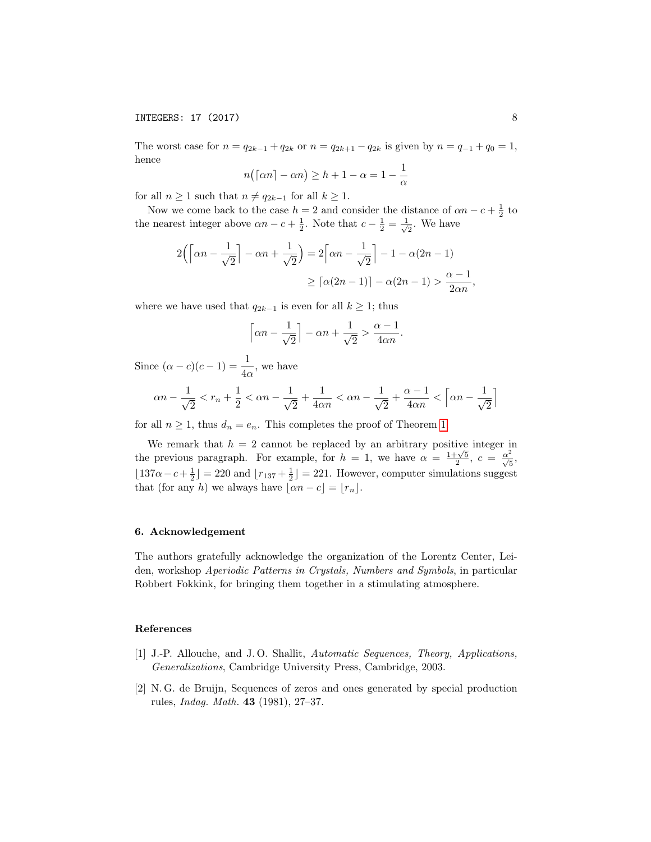INTEGERS: 17 (2017) 8

The worst case for  $n = q_{2k-1} + q_{2k}$  or  $n = q_{2k+1} - q_{2k}$  is given by  $n = q_{-1} + q_0 = 1$ , hence

$$
n((\alpha n - \alpha n) \ge h + 1 - \alpha = 1 - \frac{1}{\alpha})
$$

for all  $n \geq 1$  such that  $n \neq q_{2k-1}$  for all  $k \geq 1$ .

Now we come back to the case  $h = 2$  and consider the distance of  $\alpha n - c + \frac{1}{2}$  to the nearest integer above  $\alpha n - c + \frac{1}{2}$ . Note that  $c - \frac{1}{2} = \frac{1}{\sqrt{2}}$  $\frac{1}{2}$ . We have

$$
2\left(\left\lceil \alpha n - \frac{1}{\sqrt{2}}\right\rceil - \alpha n + \frac{1}{\sqrt{2}}\right) = 2\left\lceil \alpha n - \frac{1}{\sqrt{2}}\right\rceil - 1 - \alpha(2n - 1)
$$

$$
\geq \left\lceil \alpha(2n - 1) \right\rceil - \alpha(2n - 1) > \frac{\alpha - 1}{2\alpha n},
$$

where we have used that  $q_{2k-1}$  is even for all  $k \geq 1$ ; thus

$$
\left\lceil \alpha n - \frac{1}{\sqrt{2}} \right\rceil - \alpha n + \frac{1}{\sqrt{2}} > \frac{\alpha - 1}{4\alpha n}.
$$

Since  $(\alpha - c)(c - 1) = \frac{1}{4\alpha}$ , we have

$$
\alpha n-\frac{1}{\sqrt{2}} < r_n+\frac{1}{2}<\alpha n-\frac{1}{\sqrt{2}}+\frac{1}{4\alpha n}<\alpha n-\frac{1}{\sqrt{2}}+\frac{\alpha-1}{4\alpha n}<\left\lceil \alpha n-\frac{1}{\sqrt{2}}\right\rceil
$$

for all  $n \geq 1$ , thus  $d_n = e_n$ . This completes the proof of Theorem [1.](#page-1-0)

We remark that  $h = 2$  cannot be replaced by an arbitrary positive integer in We remark that  $h = 2$  cannot be replaced by an arbitrary positive integer in<br>the previous paragraph. For example, for  $h = 1$ , we have  $\alpha = \frac{1+\sqrt{5}}{2}$ ,  $c = \frac{\alpha^2}{\sqrt{5}}$ ,  $\lfloor 137\alpha - c + \frac{1}{2} \rfloor = 220$  and  $\lfloor r_{137} + \frac{1}{2} \rfloor = 221$ . However, computer simulations suggest that (for any h) we always have  $|\alpha n - c| = |r_n|$ .

## 6. Acknowledgement

The authors gratefully acknowledge the organization of the Lorentz Center, Leiden, workshop Aperiodic Patterns in Crystals, Numbers and Symbols, in particular Robbert Fokkink, for bringing them together in a stimulating atmosphere.

## References

- <span id="page-7-0"></span>[1] J.-P. Allouche, and J. O. Shallit, Automatic Sequences, Theory, Applications, Generalizations, Cambridge University Press, Cambridge, 2003.
- <span id="page-7-1"></span>[2] N. G. de Bruijn, Sequences of zeros and ones generated by special production rules, Indag. Math. 43 (1981), 27–37.